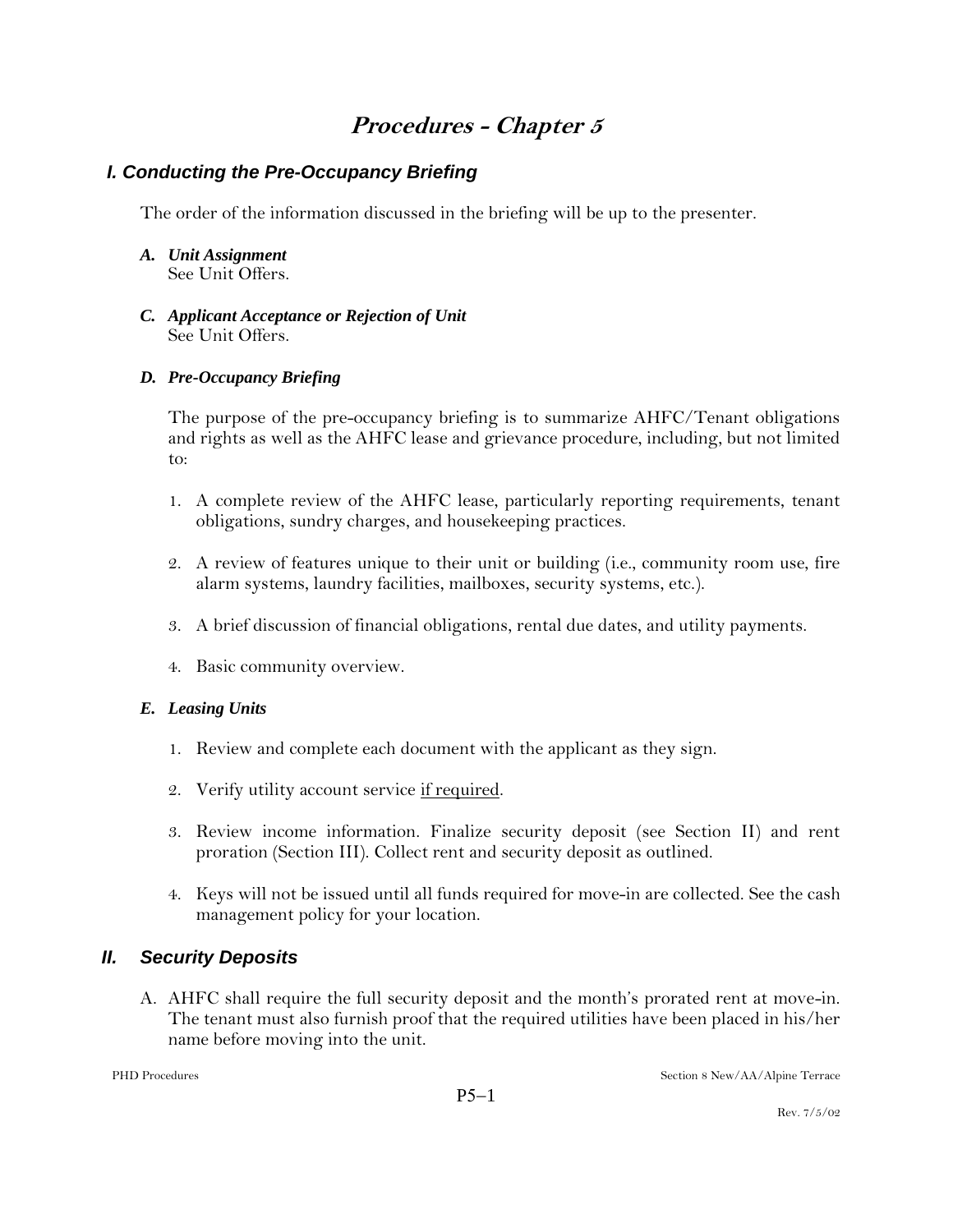# **Procedures - Chapter 5**

## *I. Conducting the Pre-Occupancy Briefing*

The order of the information discussed in the briefing will be up to the presenter.

- *A. Unit Assignment* See Unit Offers.
- *C. Applicant Acceptance or Rejection of Unit* See Unit Offers.

#### *D. Pre-Occupancy Briefing*

The purpose of the pre-occupancy briefing is to summarize AHFC/Tenant obligations and rights as well as the AHFC lease and grievance procedure, including, but not limited to:

- 1. A complete review of the AHFC lease, particularly reporting requirements, tenant obligations, sundry charges, and housekeeping practices.
- 2. A review of features unique to their unit or building (i.e., community room use, fire alarm systems, laundry facilities, mailboxes, security systems, etc.).
- 3. A brief discussion of financial obligations, rental due dates, and utility payments.
- 4. Basic community overview.

#### *E. Leasing Units*

- 1. Review and complete each document with the applicant as they sign.
- 2. Verify utility account service if required.
- 3. Review income information. Finalize security deposit (see Section II) and rent proration (Section III). Collect rent and security deposit as outlined.
- 4. Keys will not be issued until all funds required for move-in are collected. See the cash management policy for your location.

## *II. Security Deposits*

A. AHFC shall require the full security deposit and the month's prorated rent at move-in. The tenant must also furnish proof that the required utilities have been placed in his/her name before moving into the unit.

PHD Procedures Section 8 New/AA/Alpine Terrace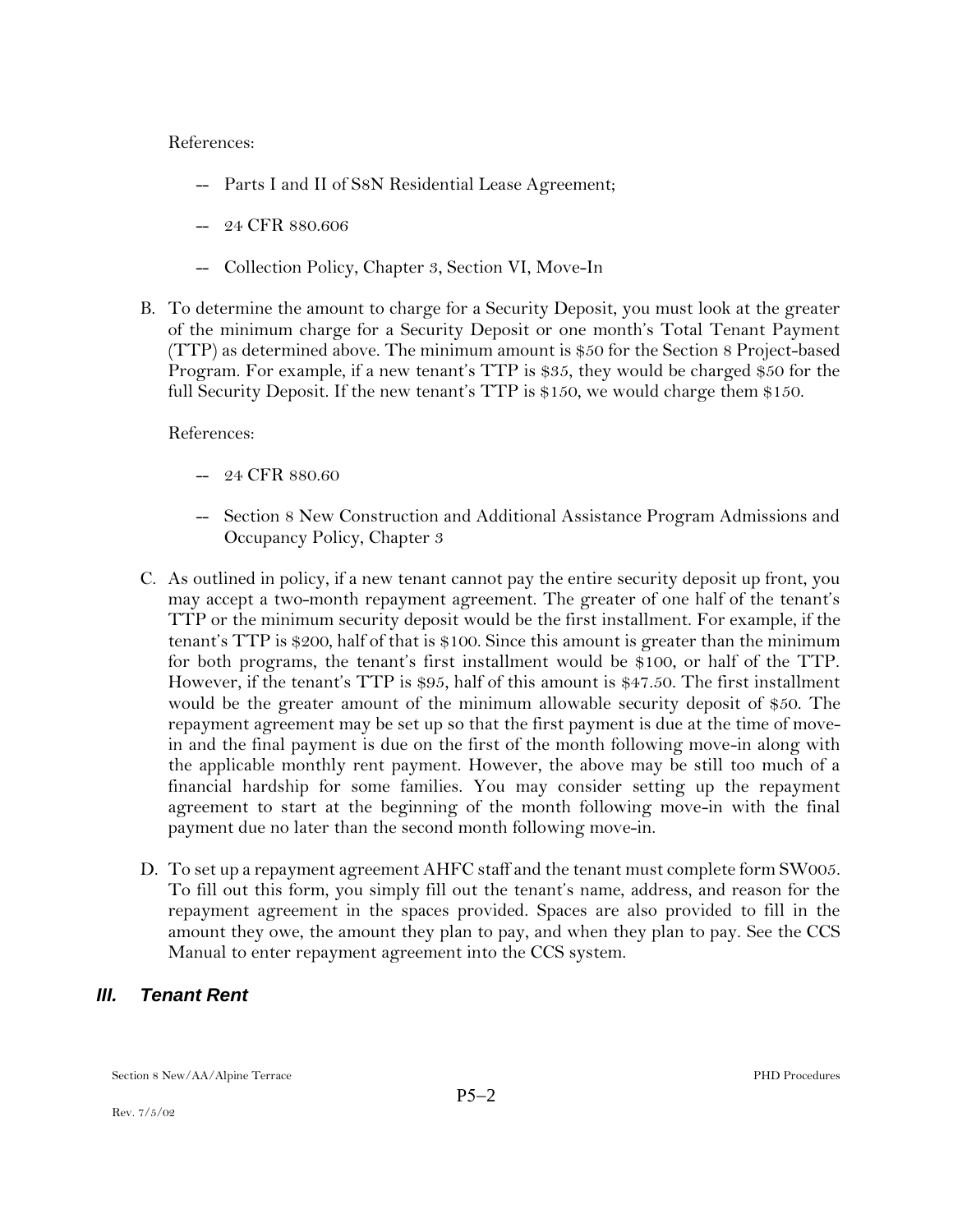References:

- -- Parts I and II of S8N Residential Lease Agreement;
- -- 24 CFR 880.606
- -- Collection Policy, Chapter 3, Section VI, Move-In
- B. To determine the amount to charge for a Security Deposit, you must look at the greater of the minimum charge for a Security Deposit or one month's Total Tenant Payment (TTP) as determined above. The minimum amount is \$50 for the Section 8 Project-based Program. For example, if a new tenant's TTP is \$35, they would be charged \$50 for the full Security Deposit. If the new tenant's TTP is \$150, we would charge them \$150.

References:

- -- 24 CFR 880.60
- -- Section 8 New Construction and Additional Assistance Program Admissions and Occupancy Policy, Chapter 3
- C. As outlined in policy, if a new tenant cannot pay the entire security deposit up front, you may accept a two-month repayment agreement. The greater of one half of the tenant's TTP or the minimum security deposit would be the first installment. For example, if the tenant's TTP is \$200, half of that is \$100. Since this amount is greater than the minimum for both programs, the tenant's first installment would be \$100, or half of the TTP. However, if the tenant's TTP is \$95, half of this amount is \$47.50. The first installment would be the greater amount of the minimum allowable security deposit of \$50. The repayment agreement may be set up so that the first payment is due at the time of movein and the final payment is due on the first of the month following move-in along with the applicable monthly rent payment. However, the above may be still too much of a financial hardship for some families. You may consider setting up the repayment agreement to start at the beginning of the month following move-in with the final payment due no later than the second month following move-in.
- D. To set up a repayment agreement AHFC staff and the tenant must complete form SW005. To fill out this form, you simply fill out the tenant's name, address, and reason for the repayment agreement in the spaces provided. Spaces are also provided to fill in the amount they owe, the amount they plan to pay, and when they plan to pay. See the CCS Manual to enter repayment agreement into the CCS system.

## *III. Tenant Rent*